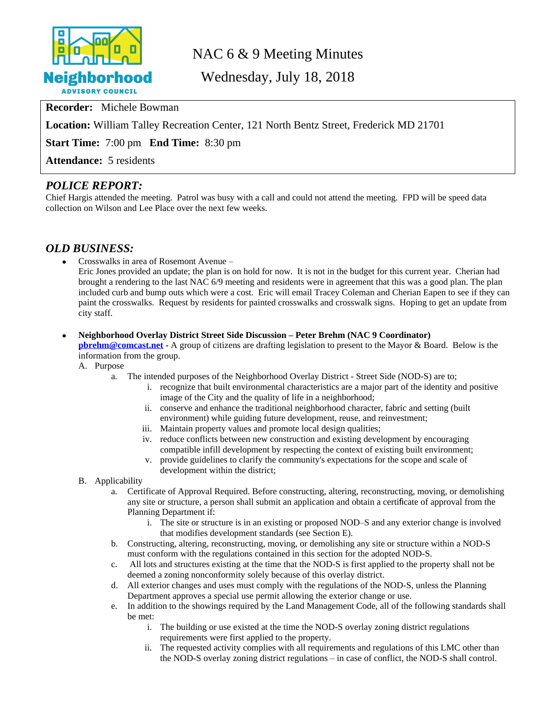

# NAC 6 & 9 Meeting Minutes

Wednesday, July 18, 2018

**Recorder:** Michele Bowman

**Location:** William Talley Recreation Center, 121 North Bentz Street, Frederick MD 21701

**Start Time:** 7:00 pm **End Time:** 8:30 pm

**Attendance:** 5 residents

### *POLICE REPORT:*

Chief Hargis attended the meeting. Patrol was busy with a call and could not attend the meeting. FPD will be speed data collection on Wilson and Lee Place over the next few weeks.

#### *OLD BUSINESS:*

Crosswalks in area of Rosemont Avenue –

Eric Jones provided an update; the plan is on hold for now. It is not in the budget for this current year. Cherian had brought a rendering to the last NAC 6/9 meeting and residents were in agreement that this was a good plan. The plan included curb and bump outs which were a cost. Eric will email Tracey Coleman and Cherian Eapen to see if they can paint the crosswalks. Request by residents for painted crosswalks and crosswalk signs. Hoping to get an update from city staff.

- **Neighborhood Overlay District Street Side Discussion – Peter Brehm (NAC 9 Coordinator) [pbrehm@comcast.net](mailto:pbrehm@comcast.net) -** A group of citizens are drafting legislation to present to the Mayor & Board. Below is the information from the group.
	- A. Purpose
		- a. The intended purposes of the Neighborhood Overlay District Street Side (NOD-S) are to;
			- i. recognize that built environmental characteristics are a major part of the identity and positive image of the City and the quality of life in a neighborhood;
			- ii. conserve and enhance the traditional neighborhood character, fabric and setting (built environment) while guiding future development, reuse, and reinvestment;
			- iii. Maintain property values and promote local design qualities;
			- iv. reduce conflicts between new construction and existing development by encouraging compatible infill development by respecting the context of existing built environment;
			- v. provide guidelines to clarify the community's expectations for the scope and scale of development within the district;
	- B. Applicability
		- a. Certificate of Approval Required. Before constructing, altering, reconstructing, moving, or demolishing any site or structure, a person shall submit an application and obtain a certificate of approval from the Planning Department if:
			- i. The site or structure is in an existing or proposed NOD–S and any exterior change is involved that modifies development standards (see Section E).
		- b. Constructing, altering, reconstructing, moving, or demolishing any site or structure within a NOD-S must conform with the regulations contained in this section for the adopted NOD-S.
		- c. All lots and structures existing at the time that the NOD-S is first applied to the property shall not be deemed a zoning nonconformity solely because of this overlay district.
		- d. All exterior changes and uses must comply with the regulations of the NOD-S, unless the Planning Department approves a special use permit allowing the exterior change or use.
		- e. In addition to the showings required by the Land Management Code, all of the following standards shall be met:
			- i. The building or use existed at the time the NOD-S overlay zoning district regulations requirements were first applied to the property.
			- ii. The requested activity complies with all requirements and regulations of this LMC other than the NOD-S overlay zoning district regulations – in case of conflict, the NOD-S shall control.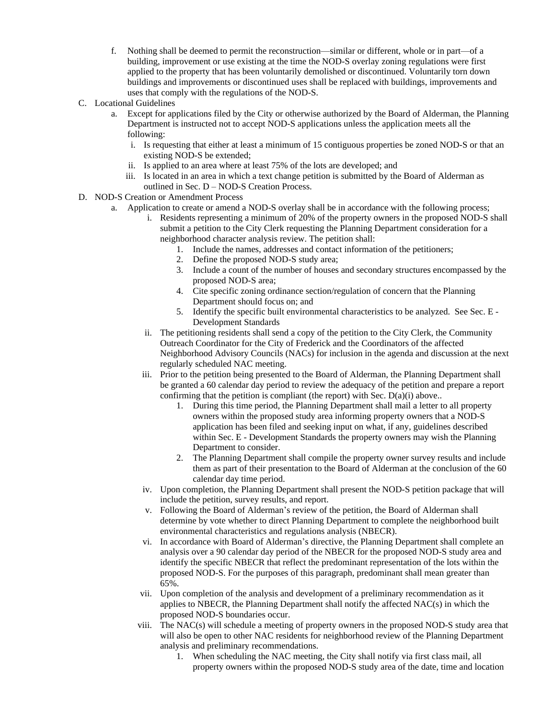- f. Nothing shall be deemed to permit the reconstruction—similar or different, whole or in part—of a building, improvement or use existing at the time the NOD-S overlay zoning regulations were first applied to the property that has been voluntarily demolished or discontinued. Voluntarily torn down buildings and improvements or discontinued uses shall be replaced with buildings, improvements and uses that comply with the regulations of the NOD-S.
- C. Locational Guidelines
	- a. Except for applications filed by the City or otherwise authorized by the Board of Alderman, the Planning Department is instructed not to accept NOD-S applications unless the application meets all the following:
		- i. Is requesting that either at least a minimum of 15 contiguous properties be zoned NOD-S or that an existing NOD-S be extended;
		- ii. Is applied to an area where at least 75% of the lots are developed; and
		- iii. Is located in an area in which a text change petition is submitted by the Board of Alderman as outlined in Sec. D – NOD-S Creation Process.
- D. NOD-S Creation or Amendment Process
	- a. Application to create or amend a NOD-S overlay shall be in accordance with the following process;
		- i. Residents representing a minimum of 20% of the property owners in the proposed NOD-S shall submit a petition to the City Clerk requesting the Planning Department consideration for a neighborhood character analysis review. The petition shall:
			- 1. Include the names, addresses and contact information of the petitioners;
			- 2. Define the proposed NOD-S study area;
			- 3. Include a count of the number of houses and secondary structures encompassed by the proposed NOD-S area;
			- 4. Cite specific zoning ordinance section/regulation of concern that the Planning Department should focus on; and
			- 5. Identify the specific built environmental characteristics to be analyzed. See Sec. E Development Standards
		- ii. The petitioning residents shall send a copy of the petition to the City Clerk, the Community Outreach Coordinator for the City of Frederick and the Coordinators of the affected Neighborhood Advisory Councils (NACs) for inclusion in the agenda and discussion at the next regularly scheduled NAC meeting.
		- iii. Prior to the petition being presented to the Board of Alderman, the Planning Department shall be granted a 60 calendar day period to review the adequacy of the petition and prepare a report confirming that the petition is compliant (the report) with Sec.  $D(a)(i)$  above..
			- 1. During this time period, the Planning Department shall mail a letter to all property owners within the proposed study area informing property owners that a NOD-S application has been filed and seeking input on what, if any, guidelines described within Sec. E - Development Standards the property owners may wish the Planning Department to consider.
			- 2. The Planning Department shall compile the property owner survey results and include them as part of their presentation to the Board of Alderman at the conclusion of the 60 calendar day time period.
		- iv. Upon completion, the Planning Department shall present the NOD-S petition package that will include the petition, survey results, and report.
		- v. Following the Board of Alderman's review of the petition, the Board of Alderman shall determine by vote whether to direct Planning Department to complete the neighborhood built environmental characteristics and regulations analysis (NBECR).
		- vi. In accordance with Board of Alderman's directive, the Planning Department shall complete an analysis over a 90 calendar day period of the NBECR for the proposed NOD-S study area and identify the specific NBECR that reflect the predominant representation of the lots within the proposed NOD-S. For the purposes of this paragraph, predominant shall mean greater than 65%.
		- vii. Upon completion of the analysis and development of a preliminary recommendation as it applies to NBECR, the Planning Department shall notify the affected NAC(s) in which the proposed NOD-S boundaries occur.
		- viii. The NAC(s) will schedule a meeting of property owners in the proposed NOD-S study area that will also be open to other NAC residents for neighborhood review of the Planning Department analysis and preliminary recommendations.
			- 1. When scheduling the NAC meeting, the City shall notify via first class mail, all property owners within the proposed NOD-S study area of the date, time and location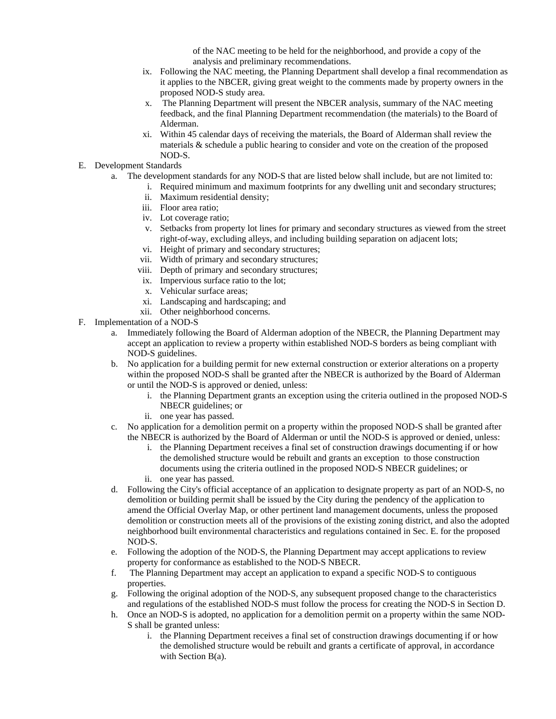of the NAC meeting to be held for the neighborhood, and provide a copy of the analysis and preliminary recommendations.

- ix. Following the NAC meeting, the Planning Department shall develop a final recommendation as it applies to the NBCER, giving great weight to the comments made by property owners in the proposed NOD-S study area.
- x. The Planning Department will present the NBCER analysis, summary of the NAC meeting feedback, and the final Planning Department recommendation (the materials) to the Board of Alderman.
- xi. Within 45 calendar days of receiving the materials, the Board of Alderman shall review the materials & schedule a public hearing to consider and vote on the creation of the proposed NOD-S.
- E. Development Standards
	- a. The development standards for any NOD-S that are listed below shall include, but are not limited to:
		- i. Required minimum and maximum footprints for any dwelling unit and secondary structures;
		- ii. Maximum residential density;
		- iii. Floor area ratio;
		- iv. Lot coverage ratio;
		- v. Setbacks from property lot lines for primary and secondary structures as viewed from the street right-of-way, excluding alleys, and including building separation on adjacent lots;
		- vi. Height of primary and secondary structures;
		- vii. Width of primary and secondary structures;
		- viii. Depth of primary and secondary structures;
		- ix. Impervious surface ratio to the lot;
		- x. Vehicular surface areas;
		- xi. Landscaping and hardscaping; and
		- xii. Other neighborhood concerns.
- F. Implementation of a NOD-S
	- a. Immediately following the Board of Alderman adoption of the NBECR, the Planning Department may accept an application to review a property within established NOD-S borders as being compliant with NOD-S guidelines.
	- b. No application for a building permit for new external construction or exterior alterations on a property within the proposed NOD-S shall be granted after the NBECR is authorized by the Board of Alderman or until the NOD-S is approved or denied, unless:
		- i. the Planning Department grants an exception using the criteria outlined in the proposed NOD-S NBECR guidelines; or
		- ii. one year has passed.
	- c. No application for a demolition permit on a property within the proposed NOD-S shall be granted after the NBECR is authorized by the Board of Alderman or until the NOD-S is approved or denied, unless:
		- i. the Planning Department receives a final set of construction drawings documenting if or how the demolished structure would be rebuilt and grants an exception to those construction documents using the criteria outlined in the proposed NOD-S NBECR guidelines; or
		- ii. one year has passed.
	- d. Following the City's official acceptance of an application to designate property as part of an NOD-S, no demolition or building permit shall be issued by the City during the pendency of the application to amend the Official Overlay Map, or other pertinent land management documents, unless the proposed demolition or construction meets all of the provisions of the existing zoning district, and also the adopted neighborhood built environmental characteristics and regulations contained in Sec. E. for the proposed NOD-S.
	- e. Following the adoption of the NOD-S, the Planning Department may accept applications to review property for conformance as established to the NOD-S NBECR.
	- f. The Planning Department may accept an application to expand a specific NOD-S to contiguous properties.
	- g. Following the original adoption of the NOD-S, any subsequent proposed change to the characteristics and regulations of the established NOD-S must follow the process for creating the NOD-S in Section D.
	- h. Once an NOD-S is adopted, no application for a demolition permit on a property within the same NOD-S shall be granted unless:
		- i. the Planning Department receives a final set of construction drawings documenting if or how the demolished structure would be rebuilt and grants a certificate of approval, in accordance with Section B(a).